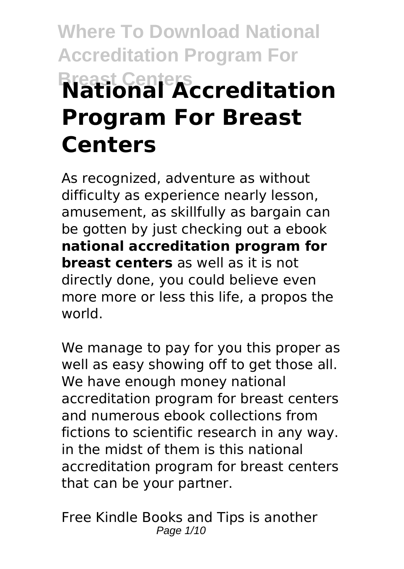# **Where To Download National Accreditation Program For Breast Centers National Accreditation Program For Breast Centers**

As recognized, adventure as without difficulty as experience nearly lesson, amusement, as skillfully as bargain can be gotten by just checking out a ebook **national accreditation program for breast centers** as well as it is not directly done, you could believe even more more or less this life, a propos the world.

We manage to pay for you this proper as well as easy showing off to get those all. We have enough money national accreditation program for breast centers and numerous ebook collections from fictions to scientific research in any way. in the midst of them is this national accreditation program for breast centers that can be your partner.

Free Kindle Books and Tips is another Page 1/10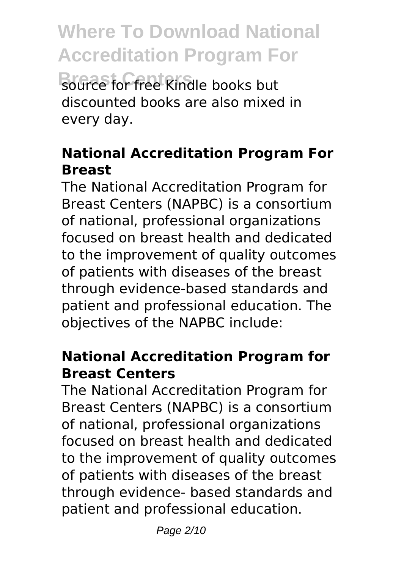**Breast Centers** source for free Kindle books but discounted books are also mixed in every day.

#### **National Accreditation Program For Breast**

The National Accreditation Program for Breast Centers (NAPBC) is a consortium of national, professional organizations focused on breast health and dedicated to the improvement of quality outcomes of patients with diseases of the breast through evidence-based standards and patient and professional education. The objectives of the NAPBC include:

#### **National Accreditation Program for Breast Centers**

The National Accreditation Program for Breast Centers (NAPBC) is a consortium of national, professional organizations focused on breast health and dedicated to the improvement of quality outcomes of patients with diseases of the breast through evidence- based standards and patient and professional education.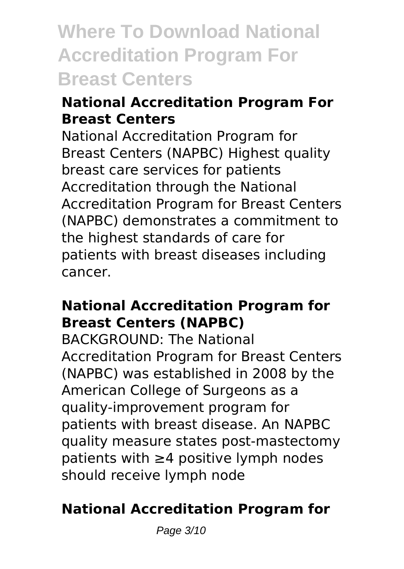### **Where To Download National Accreditation Program For Breast Centers**

#### **National Accreditation Program For Breast Centers**

National Accreditation Program for Breast Centers (NAPBC) Highest quality breast care services for patients Accreditation through the National Accreditation Program for Breast Centers (NAPBC) demonstrates a commitment to the highest standards of care for patients with breast diseases including cancer.

#### **National Accreditation Program for Breast Centers (NAPBC)**

BACKGROUND: The National Accreditation Program for Breast Centers (NAPBC) was established in 2008 by the American College of Surgeons as a quality-improvement program for patients with breast disease. An NAPBC quality measure states post-mastectomy patients with ≥4 positive lymph nodes should receive lymph node

#### **National Accreditation Program for**

Page 3/10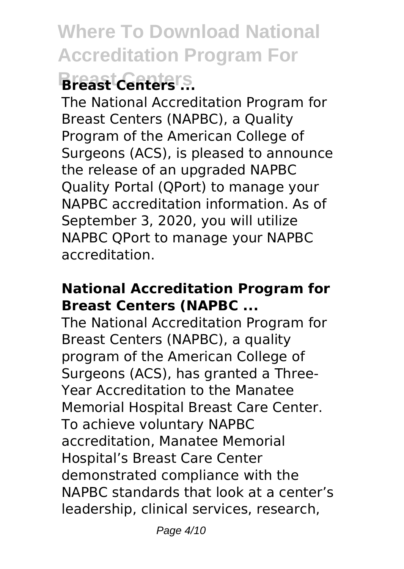### **Breast Centers Breast Centers ...**

The National Accreditation Program for Breast Centers (NAPBC), a Quality Program of the American College of Surgeons (ACS), is pleased to announce the release of an upgraded NAPBC Quality Portal (QPort) to manage your NAPBC accreditation information. As of September 3, 2020, you will utilize NAPBC QPort to manage your NAPBC accreditation.

#### **National Accreditation Program for Breast Centers (NAPBC ...**

The National Accreditation Program for Breast Centers (NAPBC), a quality program of the American College of Surgeons (ACS), has granted a Three-Year Accreditation to the Manatee Memorial Hospital Breast Care Center. To achieve voluntary NAPBC accreditation, Manatee Memorial Hospital's Breast Care Center demonstrated compliance with the NAPBC standards that look at a center's leadership, clinical services, research,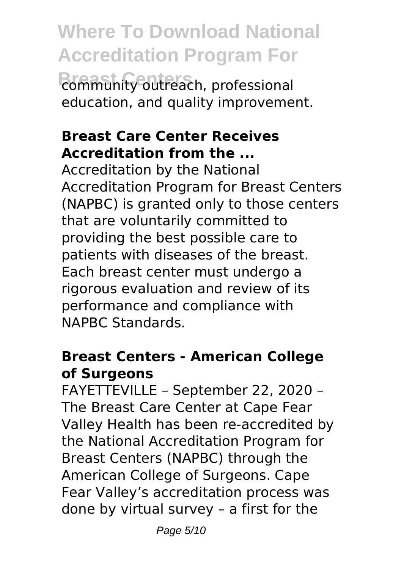**Where To Download National Accreditation Program For Breast Centers** community outreach, professional education, and quality improvement.

#### **Breast Care Center Receives Accreditation from the ...**

Accreditation by the National Accreditation Program for Breast Centers (NAPBC) is granted only to those centers that are voluntarily committed to providing the best possible care to patients with diseases of the breast. Each breast center must undergo a rigorous evaluation and review of its performance and compliance with NAPBC Standards.

#### **Breast Centers - American College of Surgeons**

FAYETTEVILLE – September 22, 2020 – The Breast Care Center at Cape Fear Valley Health has been re-accredited by the National Accreditation Program for Breast Centers (NAPBC) through the American College of Surgeons. Cape Fear Valley's accreditation process was done by virtual survey – a first for the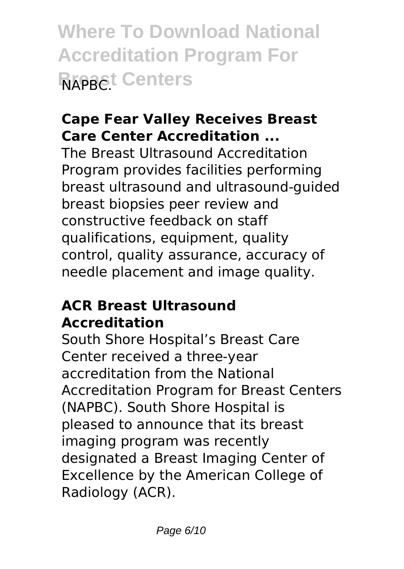**Where To Download National Accreditation Program For Breast Centers** 

#### **Cape Fear Valley Receives Breast Care Center Accreditation ...**

The Breast Ultrasound Accreditation Program provides facilities performing breast ultrasound and ultrasound-guided breast biopsies peer review and constructive feedback on staff qualifications, equipment, quality control, quality assurance, accuracy of needle placement and image quality.

#### **ACR Breast Ultrasound Accreditation**

South Shore Hospital's Breast Care Center received a three-year accreditation from the National Accreditation Program for Breast Centers (NAPBC). South Shore Hospital is pleased to announce that its breast imaging program was recently designated a Breast Imaging Center of Excellence by the American College of Radiology (ACR).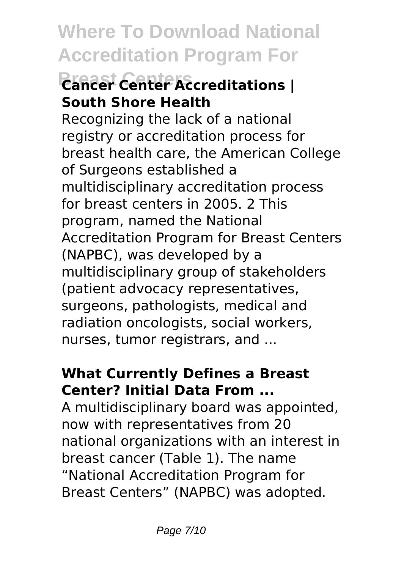### **Breast Centers Cancer Center Accreditations | South Shore Health**

Recognizing the lack of a national registry or accreditation process for breast health care, the American College of Surgeons established a multidisciplinary accreditation process for breast centers in 2005. 2 This program, named the National Accreditation Program for Breast Centers (NAPBC), was developed by a multidisciplinary group of stakeholders (patient advocacy representatives, surgeons, pathologists, medical and radiation oncologists, social workers, nurses, tumor registrars, and ...

#### **What Currently Defines a Breast Center? Initial Data From ...**

A multidisciplinary board was appointed, now with representatives from 20 national organizations with an interest in breast cancer (Table 1). The name "National Accreditation Program for Breast Centers" (NAPBC) was adopted.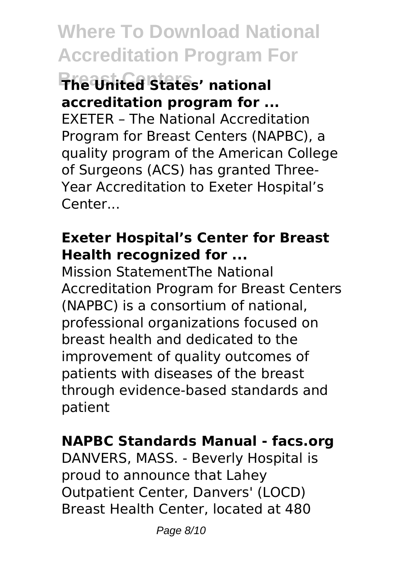#### **Breast Centers The United States' national accreditation program for ...**

EXETER – The National Accreditation Program for Breast Centers (NAPBC), a quality program of the American College of Surgeons (ACS) has granted Three-Year Accreditation to Exeter Hospital's Center...

#### **Exeter Hospital's Center for Breast Health recognized for ...**

Mission StatementThe National Accreditation Program for Breast Centers (NAPBC) is a consortium of national, professional organizations focused on breast health and dedicated to the improvement of quality outcomes of patients with diseases of the breast through evidence-based standards and patient

#### **NAPBC Standards Manual - facs.org**

DANVERS, MASS. - Beverly Hospital is proud to announce that Lahey Outpatient Center, Danvers' (LOCD) Breast Health Center, located at 480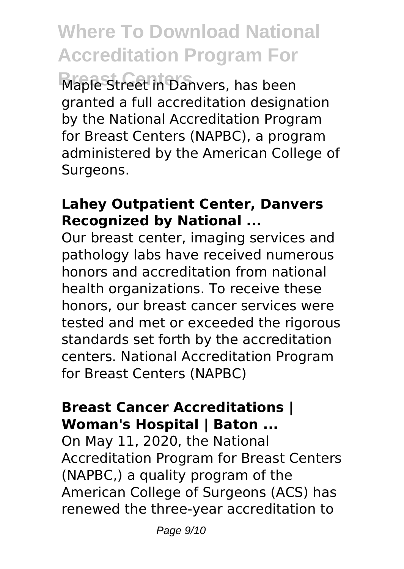**Breast Centers** Maple Street in Danvers, has been granted a full accreditation designation by the National Accreditation Program for Breast Centers (NAPBC), a program administered by the American College of Surgeons.

#### **Lahey Outpatient Center, Danvers Recognized by National ...**

Our breast center, imaging services and pathology labs have received numerous honors and accreditation from national health organizations. To receive these honors, our breast cancer services were tested and met or exceeded the rigorous standards set forth by the accreditation centers. National Accreditation Program for Breast Centers (NAPBC)

#### **Breast Cancer Accreditations | Woman's Hospital | Baton ...**

On May 11, 2020, the National Accreditation Program for Breast Centers (NAPBC,) a quality program of the American College of Surgeons (ACS) has renewed the three-year accreditation to